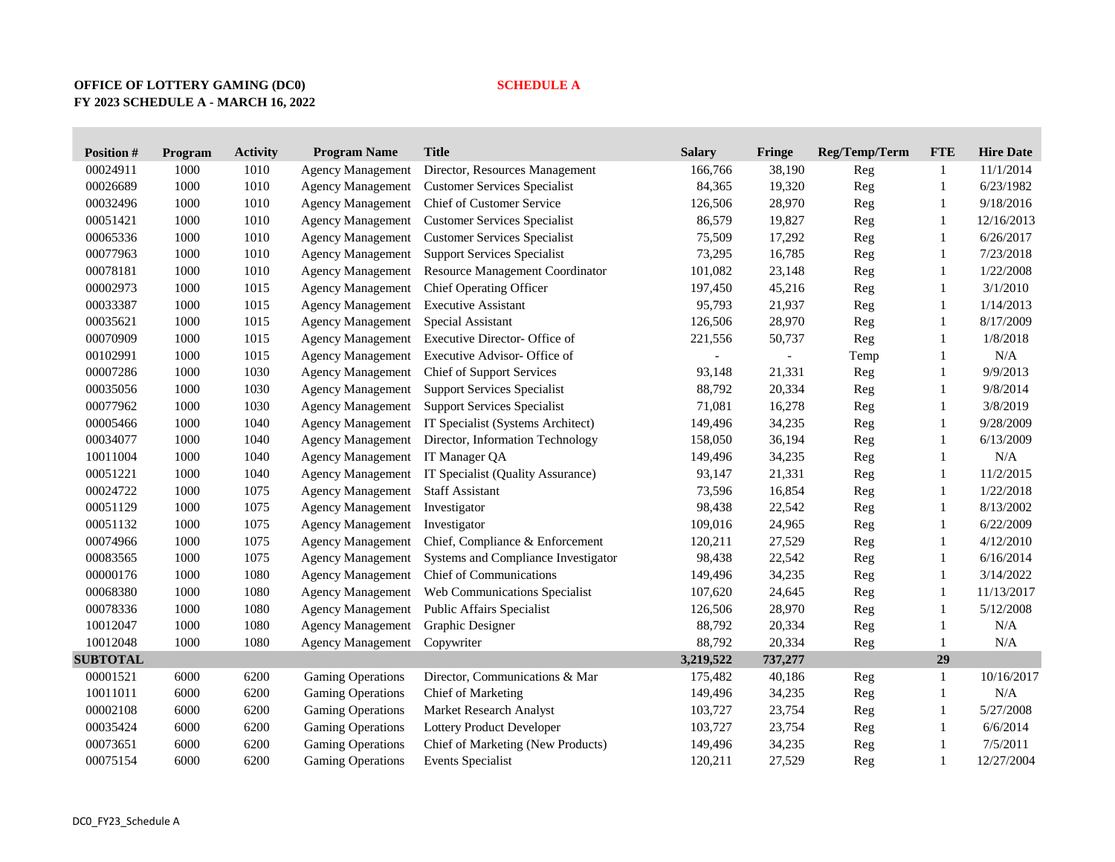## **OFFICE OF LOTTERY GAMING (DC0) SCHEDULE A FY 2023 SCHEDULE A - MARCH 16, 2022**

| <b>Position#</b> | Program | <b>Activity</b> | <b>Program Name</b>      | <b>Title</b>                           | <b>Salary</b> | Fringe  | Reg/Temp/Term | <b>FTE</b>   | <b>Hire Date</b> |
|------------------|---------|-----------------|--------------------------|----------------------------------------|---------------|---------|---------------|--------------|------------------|
| 00024911         | 1000    | 1010            | <b>Agency Management</b> | Director, Resources Management         | 166,766       | 38,190  | Reg           | 1            | 11/1/2014        |
| 00026689         | 1000    | 1010            | <b>Agency Management</b> | <b>Customer Services Specialist</b>    | 84,365        | 19,320  | Reg           | 1            | 6/23/1982        |
| 00032496         | 1000    | 1010            | <b>Agency Management</b> | Chief of Customer Service              | 126,506       | 28,970  | Reg           | 1            | 9/18/2016        |
| 00051421         | 1000    | 1010            | <b>Agency Management</b> | <b>Customer Services Specialist</b>    | 86,579        | 19,827  | Reg           | 1            | 12/16/2013       |
| 00065336         | 1000    | 1010            | <b>Agency Management</b> | <b>Customer Services Specialist</b>    | 75,509        | 17,292  | Reg           | 1            | 6/26/2017        |
| 00077963         | 1000    | 1010            | <b>Agency Management</b> | <b>Support Services Specialist</b>     | 73,295        | 16,785  | Reg           | 1            | 7/23/2018        |
| 00078181         | 1000    | 1010            | <b>Agency Management</b> | <b>Resource Management Coordinator</b> | 101,082       | 23,148  | Reg           | 1            | 1/22/2008        |
| 00002973         | 1000    | 1015            | <b>Agency Management</b> | <b>Chief Operating Officer</b>         | 197,450       | 45,216  | Reg           | 1            | 3/1/2010         |
| 00033387         | 1000    | 1015            | <b>Agency Management</b> | <b>Executive Assistant</b>             | 95,793        | 21,937  | Reg           | 1            | 1/14/2013        |
| 00035621         | 1000    | 1015            | <b>Agency Management</b> | Special Assistant                      | 126,506       | 28,970  | Reg           | 1            | 8/17/2009        |
| 00070909         | 1000    | 1015            | <b>Agency Management</b> | Executive Director- Office of          | 221,556       | 50,737  | Reg           | 1            | 1/8/2018         |
| 00102991         | 1000    | 1015            | <b>Agency Management</b> | Executive Advisor- Office of           |               |         | Temp          | 1            | $\rm N/A$        |
| 00007286         | 1000    | 1030            | <b>Agency Management</b> | Chief of Support Services              | 93,148        | 21,331  | Reg           | 1            | 9/9/2013         |
| 00035056         | 1000    | 1030            | <b>Agency Management</b> | <b>Support Services Specialist</b>     | 88,792        | 20,334  | Reg           | 1            | 9/8/2014         |
| 00077962         | 1000    | 1030            | <b>Agency Management</b> | <b>Support Services Specialist</b>     | 71,081        | 16,278  | Reg           | 1            | 3/8/2019         |
| 00005466         | 1000    | 1040            | <b>Agency Management</b> | IT Specialist (Systems Architect)      | 149,496       | 34,235  | Reg           | 1            | 9/28/2009        |
| 00034077         | 1000    | 1040            | <b>Agency Management</b> | Director, Information Technology       | 158,050       | 36,194  | Reg           | 1            | 6/13/2009        |
| 10011004         | 1000    | 1040            | <b>Agency Management</b> | IT Manager QA                          | 149,496       | 34,235  | Reg           | $\mathbf{1}$ | $\rm N/A$        |
| 00051221         | 1000    | 1040            | <b>Agency Management</b> | IT Specialist (Quality Assurance)      | 93,147        | 21,331  | Reg           | $\mathbf{1}$ | 11/2/2015        |
| 00024722         | 1000    | 1075            | <b>Agency Management</b> | <b>Staff Assistant</b>                 | 73,596        | 16,854  | Reg           | $\mathbf{1}$ | 1/22/2018        |
| 00051129         | 1000    | 1075            | <b>Agency Management</b> | Investigator                           | 98,438        | 22,542  | Reg           | $\mathbf{1}$ | 8/13/2002        |
| 00051132         | 1000    | 1075            | <b>Agency Management</b> | Investigator                           | 109,016       | 24,965  | Reg           | $\mathbf{1}$ | 6/22/2009        |
| 00074966         | 1000    | 1075            | <b>Agency Management</b> | Chief, Compliance & Enforcement        | 120,211       | 27,529  | Reg           | $\mathbf{1}$ | 4/12/2010        |
| 00083565         | 1000    | 1075            | <b>Agency Management</b> | Systems and Compliance Investigator    | 98,438        | 22,542  | Reg           | $\mathbf{1}$ | 6/16/2014        |
| 00000176         | 1000    | 1080            | <b>Agency Management</b> | Chief of Communications                | 149,496       | 34,235  | Reg           | $\mathbf{1}$ | 3/14/2022        |
| 00068380         | 1000    | 1080            | <b>Agency Management</b> | Web Communications Specialist          | 107,620       | 24,645  | Reg           | $\mathbf{1}$ | 11/13/2017       |
| 00078336         | 1000    | 1080            | <b>Agency Management</b> | Public Affairs Specialist              | 126,506       | 28,970  | Reg           | $\mathbf{1}$ | 5/12/2008        |
| 10012047         | 1000    | 1080            | <b>Agency Management</b> | Graphic Designer                       | 88,792        | 20,334  | Reg           | $\mathbf{1}$ | $\rm N/A$        |
| 10012048         | 1000    | 1080            | <b>Agency Management</b> | Copywriter                             | 88,792        | 20,334  | Reg           | $\mathbf{1}$ | N/A              |
| <b>SUBTOTAL</b>  |         |                 |                          |                                        | 3,219,522     | 737,277 |               | 29           |                  |
| 00001521         | 6000    | 6200            | <b>Gaming Operations</b> | Director, Communications & Mar         | 175,482       | 40,186  | Reg           | $\mathbf{1}$ | 10/16/2017       |
| 10011011         | 6000    | 6200            | <b>Gaming Operations</b> | Chief of Marketing                     | 149,496       | 34,235  | Reg           | $\mathbf{1}$ | N/A              |
| 00002108         | 6000    | 6200            | <b>Gaming Operations</b> | Market Research Analyst                | 103,727       | 23,754  | Reg           | $\mathbf{1}$ | 5/27/2008        |
| 00035424         | 6000    | 6200            | <b>Gaming Operations</b> | Lottery Product Developer              | 103,727       | 23,754  | Reg           | 1            | 6/6/2014         |
| 00073651         | 6000    | 6200            | <b>Gaming Operations</b> | Chief of Marketing (New Products)      | 149,496       | 34,235  | Reg           | $\mathbf{1}$ | 7/5/2011         |
| 00075154         | 6000    | 6200            | <b>Gaming Operations</b> | <b>Events Specialist</b>               | 120,211       | 27,529  | Reg           | $\mathbf{1}$ | 12/27/2004       |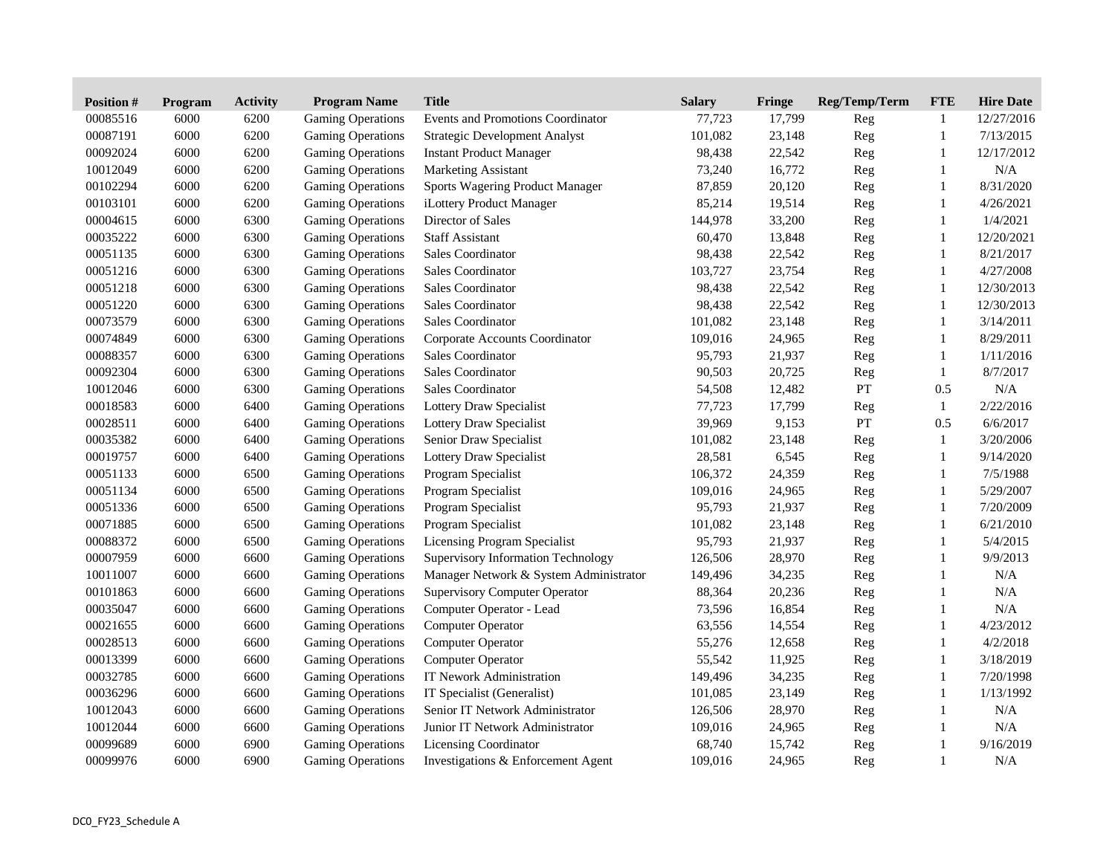| <b>Position#</b> | <b>Program</b> | <b>Activity</b> | <b>Program Name</b>      | <b>Title</b>                           | <b>Salary</b> | Fringe | Reg/Temp/Term | <b>FTE</b>   | <b>Hire Date</b> |
|------------------|----------------|-----------------|--------------------------|----------------------------------------|---------------|--------|---------------|--------------|------------------|
| 00085516         | 6000           | 6200            | <b>Gaming Operations</b> | Events and Promotions Coordinator      | 77,723        | 17,799 | Reg           | 1            | 12/27/2016       |
| 00087191         | 6000           | 6200            | <b>Gaming Operations</b> | <b>Strategic Development Analyst</b>   | 101,082       | 23,148 | Reg           | $\mathbf{1}$ | 7/13/2015        |
| 00092024         | 6000           | 6200            | <b>Gaming Operations</b> | <b>Instant Product Manager</b>         | 98,438        | 22,542 | Reg           | $\mathbf{1}$ | 12/17/2012       |
| 10012049         | 6000           | 6200            | <b>Gaming Operations</b> | <b>Marketing Assistant</b>             | 73,240        | 16,772 | Reg           | 1            | N/A              |
| 00102294         | 6000           | 6200            | <b>Gaming Operations</b> | Sports Wagering Product Manager        | 87,859        | 20,120 | Reg           | $\mathbf{1}$ | 8/31/2020        |
| 00103101         | 6000           | 6200            | <b>Gaming Operations</b> | iLottery Product Manager               | 85,214        | 19,514 | Reg           | $\mathbf{1}$ | 4/26/2021        |
| 00004615         | 6000           | 6300            | Gaming Operations        | Director of Sales                      | 144,978       | 33,200 | Reg           | $\mathbf{1}$ | 1/4/2021         |
| 00035222         | 6000           | 6300            | <b>Gaming Operations</b> | <b>Staff Assistant</b>                 | 60,470        | 13,848 | Reg           | $\mathbf{1}$ | 12/20/2021       |
| 00051135         | 6000           | 6300            | <b>Gaming Operations</b> | <b>Sales Coordinator</b>               | 98,438        | 22,542 | Reg           | $\mathbf{1}$ | 8/21/2017        |
| 00051216         | 6000           | 6300            | <b>Gaming Operations</b> | Sales Coordinator                      | 103,727       | 23,754 | Reg           | $\mathbf{1}$ | 4/27/2008        |
| 00051218         | 6000           | 6300            | <b>Gaming Operations</b> | Sales Coordinator                      | 98,438        | 22,542 | Reg           | $\mathbf{1}$ | 12/30/2013       |
| 00051220         | 6000           | 6300            | <b>Gaming Operations</b> | Sales Coordinator                      | 98,438        | 22,542 | Reg           | $\mathbf{1}$ | 12/30/2013       |
| 00073579         | 6000           | 6300            | <b>Gaming Operations</b> | Sales Coordinator                      | 101,082       | 23,148 | Reg           | $\mathbf{1}$ | 3/14/2011        |
| 00074849         | 6000           | 6300            | <b>Gaming Operations</b> | Corporate Accounts Coordinator         | 109,016       | 24,965 | Reg           | $\mathbf{1}$ | 8/29/2011        |
| 00088357         | 6000           | 6300            | <b>Gaming Operations</b> | Sales Coordinator                      | 95,793        | 21,937 | $\mbox{Reg}$  | $\mathbf{1}$ | 1/11/2016        |
| 00092304         | 6000           | 6300            | <b>Gaming Operations</b> | Sales Coordinator                      | 90,503        | 20,725 | Reg           | $\mathbf{1}$ | 8/7/2017         |
| 10012046         | 6000           | 6300            | <b>Gaming Operations</b> | Sales Coordinator                      | 54,508        | 12,482 | PT            | 0.5          | N/A              |
| 00018583         | 6000           | 6400            | <b>Gaming Operations</b> | <b>Lottery Draw Specialist</b>         | 77,723        | 17,799 | Reg           | 1            | 2/22/2016        |
| 00028511         | 6000           | 6400            | <b>Gaming Operations</b> | <b>Lottery Draw Specialist</b>         | 39,969        | 9,153  | PT            | 0.5          | 6/6/2017         |
| 00035382         | 6000           | 6400            | Gaming Operations        | Senior Draw Specialist                 | 101,082       | 23,148 | Reg           | $\mathbf{1}$ | 3/20/2006        |
| 00019757         | 6000           | 6400            | <b>Gaming Operations</b> | <b>Lottery Draw Specialist</b>         | 28,581        | 6,545  | Reg           | $\mathbf{1}$ | 9/14/2020        |
| 00051133         | 6000           | 6500            | <b>Gaming Operations</b> | Program Specialist                     | 106,372       | 24,359 | Reg           | $\mathbf{1}$ | 7/5/1988         |
| 00051134         | 6000           | 6500            | <b>Gaming Operations</b> | Program Specialist                     | 109,016       | 24,965 | Reg           | $\mathbf{1}$ | 5/29/2007        |
| 00051336         | 6000           | 6500            | <b>Gaming Operations</b> | Program Specialist                     | 95,793        | 21,937 | Reg           | $\mathbf{1}$ | 7/20/2009        |
| 00071885         | 6000           | 6500            | <b>Gaming Operations</b> | Program Specialist                     | 101,082       | 23,148 | Reg           | $\mathbf{1}$ | 6/21/2010        |
| 00088372         | 6000           | 6500            | <b>Gaming Operations</b> | Licensing Program Specialist           | 95,793        | 21,937 | Reg           | $\mathbf{1}$ | 5/4/2015         |
| 00007959         | 6000           | 6600            | <b>Gaming Operations</b> | Supervisory Information Technology     | 126,506       | 28,970 | Reg           | $\mathbf{1}$ | 9/9/2013         |
| 10011007         | 6000           | 6600            | Gaming Operations        | Manager Network & System Administrator | 149,496       | 34,235 | Reg           | $\mathbf{1}$ | N/A              |
| 00101863         | 6000           | 6600            | <b>Gaming Operations</b> | <b>Supervisory Computer Operator</b>   | 88,364        | 20,236 | Reg           | $\mathbf{1}$ | N/A              |
| 00035047         | 6000           | 6600            | <b>Gaming Operations</b> | Computer Operator - Lead               | 73,596        | 16,854 | Reg           | $\mathbf{1}$ | $\rm N/A$        |
| 00021655         | 6000           | 6600            | Gaming Operations        | <b>Computer Operator</b>               | 63,556        | 14,554 | Reg           | 1            | 4/23/2012        |
| 00028513         | 6000           | 6600            | <b>Gaming Operations</b> | Computer Operator                      | 55,276        | 12,658 | Reg           | $\mathbf{1}$ | 4/2/2018         |
| 00013399         | 6000           | 6600            | <b>Gaming Operations</b> | <b>Computer Operator</b>               | 55,542        | 11,925 | Reg           | $\mathbf{1}$ | 3/18/2019        |
| 00032785         | 6000           | 6600            | Gaming Operations        | IT Nework Administration               | 149,496       | 34,235 | Reg           | $\mathbf{1}$ | 7/20/1998        |
| 00036296         | 6000           | 6600            | <b>Gaming Operations</b> | IT Specialist (Generalist)             | 101,085       | 23,149 | Reg           | $\mathbf{1}$ | 1/13/1992        |
| 10012043         | 6000           | 6600            | <b>Gaming Operations</b> | Senior IT Network Administrator        | 126,506       | 28,970 | Reg           | $\mathbf{1}$ | $\rm N/A$        |
| 10012044         | 6000           | 6600            | <b>Gaming Operations</b> | Junior IT Network Administrator        | 109,016       | 24,965 | Reg           | $\mathbf{1}$ | N/A              |
| 00099689         | 6000           | 6900            | <b>Gaming Operations</b> | <b>Licensing Coordinator</b>           | 68,740        | 15,742 | Reg           | $\mathbf{1}$ | 9/16/2019        |
| 00099976         | 6000           | 6900            | <b>Gaming Operations</b> | Investigations & Enforcement Agent     | 109,016       | 24,965 | Reg           | 1            | N/A              |